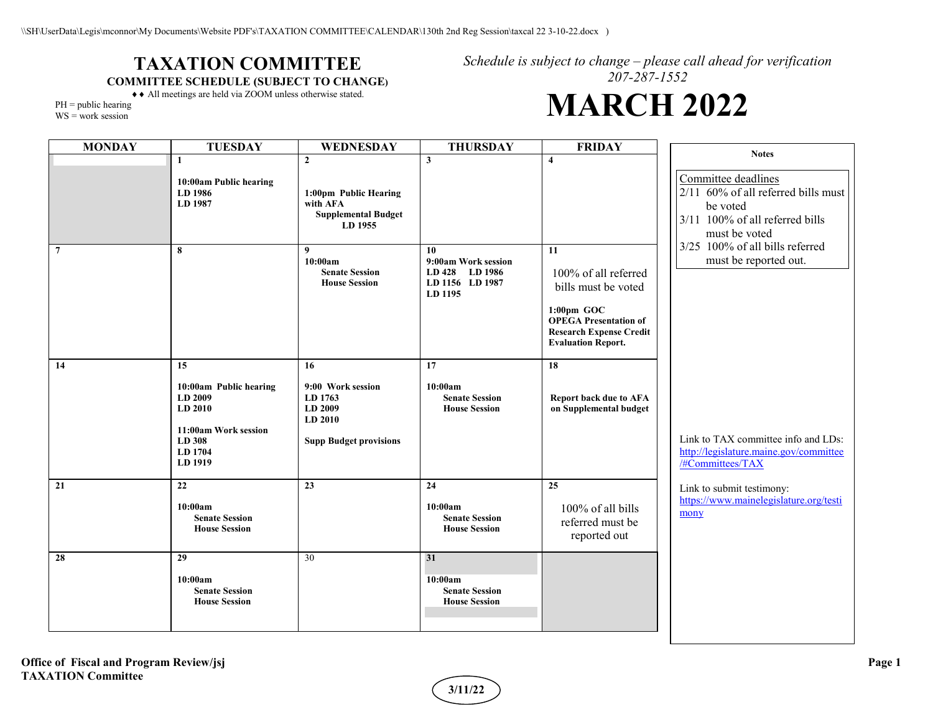### **TAXATION COMMITTEE COMMITTEE SCHEDULE (SUBJECT TO CHANGE)**

*Schedule is subject to change – please call ahead for verification 207-287-1552*

# **MARCH 2022**

♦♦ All meetings are held via ZOOM unless otherwise stated.  $PH = public hearing$ 

WS = work session

| <b>MONDAY</b> | <b>TUESDAY</b>                                                                                             | WEDNESDAY                                                                                 | <b>THURSDAY</b>                                                           | <b>FRIDAY</b>                                                                                                                                                     |                                                                                                   |
|---------------|------------------------------------------------------------------------------------------------------------|-------------------------------------------------------------------------------------------|---------------------------------------------------------------------------|-------------------------------------------------------------------------------------------------------------------------------------------------------------------|---------------------------------------------------------------------------------------------------|
|               | 1<br>10:00am Public hearing<br>LD 1986<br>LD 1987                                                          | $\mathbf{2}$<br>1:00pm Public Hearing<br>with AFA                                         | 3                                                                         | $\overline{\mathbf{4}}$                                                                                                                                           | <b>Notes</b><br>Committee deadlines<br>2/11 60% of all referred bills must<br>be voted            |
|               |                                                                                                            | <b>Supplemental Budget</b><br>LD 1955                                                     |                                                                           |                                                                                                                                                                   | 3/11 100% of all referred bills<br>must be voted<br>3/25 100% of all bills referred               |
| 7             | 8                                                                                                          | 9<br>10:00am<br><b>Senate Session</b><br><b>House Session</b>                             | 10<br>9:00am Work session<br>LD 428 LD 1986<br>LD 1156 LD 1987<br>LD 1195 | 11<br>100% of all referred<br>bills must be voted<br>$1:00$ pm GOC<br><b>OPEGA</b> Presentation of<br><b>Research Expense Credit</b><br><b>Evaluation Report.</b> | must be reported out.                                                                             |
| 14            | 15<br>10:00am Public hearing<br>LD 2009<br>LD 2010<br>11:00am Work session<br>LD 308<br>LD 1704<br>LD 1919 | 16<br>9:00 Work session<br>LD 1763<br>LD 2009<br>LD 2010<br><b>Supp Budget provisions</b> | 17<br>10:00am<br><b>Senate Session</b><br><b>House Session</b>            | 18<br><b>Report back due to AFA</b><br>on Supplemental budget                                                                                                     | Link to TAX committee info and LDs:<br>http://legislature.maine.gov/committee<br>/#Committees/TAX |
| 21            | 22<br>10:00am<br><b>Senate Session</b><br><b>House Session</b>                                             | 23                                                                                        | 24<br>10:00am<br><b>Senate Session</b><br><b>House Session</b>            | 25<br>100% of all bills<br>referred must be<br>reported out                                                                                                       | Link to submit testimony:<br>https://www.mainelegislature.org/testi<br>mony                       |
| 28            | 29<br>10:00am<br><b>Senate Session</b><br><b>House Session</b>                                             | 30                                                                                        | 31<br>10:00am<br><b>Senate Session</b><br><b>House Session</b>            |                                                                                                                                                                   |                                                                                                   |